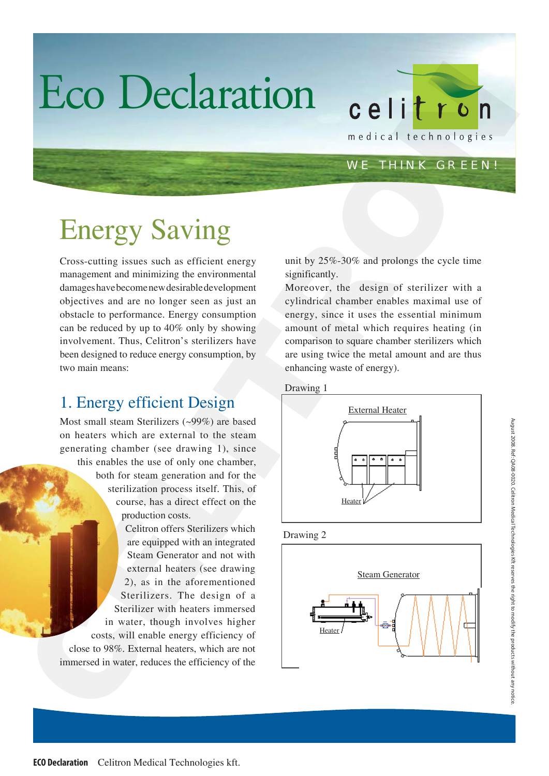# Eco Declaration

#### WE THINK GREEN!

# Energy Saving

Cross-cutting issues such as efficient energy management and minimizing the environmental damages have become new desirable development objectives and are no longer seen as just an obstacle to performance. Energy consumption can be reduced by up to 40% only by showing involvement. Thus, Celitron's sterilizers have been designed to reduce energy consumption, by two main means:

### 1. Energy efficient Design

Most small steam Sterilizers (~99%) are based on heaters which are external to the steam generating chamber (see drawing 1), since this enables the use of only one chamber,

both for steam generation and for the sterilization process itself. This, of course, has a direct effect on the production costs.

Celitron offers Sterilizers which are equipped with an integrated Steam Generator and not with external heaters (see drawing 2), as in the aforementioned Sterilizers. The design of a Sterilizer with heaters immersed in water, though involves higher costs, will enable energy efficiency of close to 98%. External heaters, which are not immersed in water, reduces the efficiency of the

unit by 25%-30% and prolongs the cycle time significantly.

Moreover, the design of sterilizer with a cylindrical chamber enables maximal use of energy, since it uses the essential minimum amount of metal which requires heating (in comparison to square chamber sterilizers which are using twice the metal amount and are thus enhancing waste of energy).









August 2008. Ref: QA08-0020. Celitron Medical Technologies Kft reserves the right to modify the products without any notice.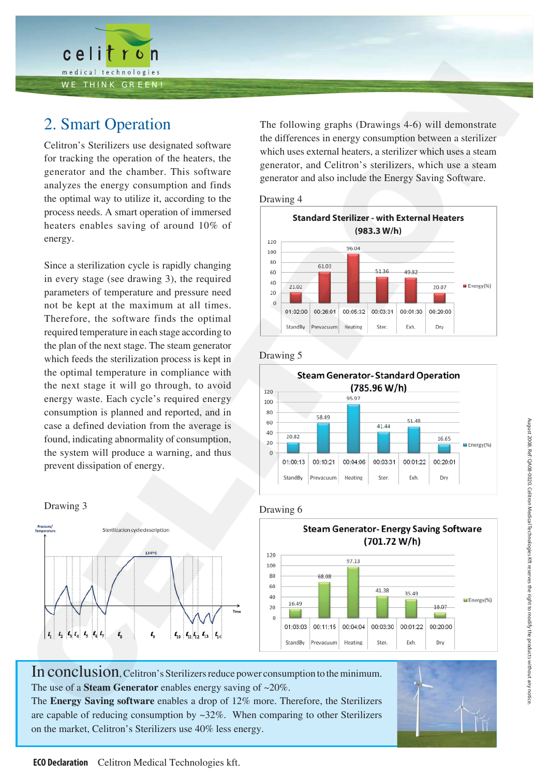

### 2. Smart Operation

Celitron's Sterilizers use designated software for tracking the operation of the heaters, the generator and the chamber. This software analyzes the energy consumption and finds the optimal way to utilize it, according to the process needs. A smart operation of immersed heaters enables saving of around 10% of energy.

Since a sterilization cycle is rapidly changing in every stage (see drawing 3), the required parameters of temperature and pressure need not be kept at the maximum at all times. Therefore, the software finds the optimal required temperature in each stage according to the plan of the next stage. The steam generator which feeds the sterilization process is kept in the optimal temperature in compliance with the next stage it will go through, to avoid energy waste. Each cycle's required energy consumption is planned and reported, and in case a defined deviation from the average is found, indicating abnormality of consumption, the system will produce a warning, and thus prevent dissipation of energy. are a statical contents of the basis of the static static static static static static static static static static static static static static static static static static static static static static static static static st



The following graphs (Drawings 4-6) will demonstrate the differences in energy consumption between a sterilizer which uses external heaters, a sterilizer which uses a steam generator, and Celitron's sterilizers, which use a steam generator and also include the Energy Saving Software.

#### Drawing 4



#### Drawing 5



#### Drawing 6



In conclusion, Celitron's Sterilizers reduce power consumption to the minimum. The use of a **Steam Generator** enables energy saving of ~20%.

The **Energy Saving software** enables a drop of 12% more. Therefore, the Sterilizers are capable of reducing consumption by  $\sim$ 32%. When comparing to other Sterilizers on the market, Celitron's Sterilizers use 40% less energy.